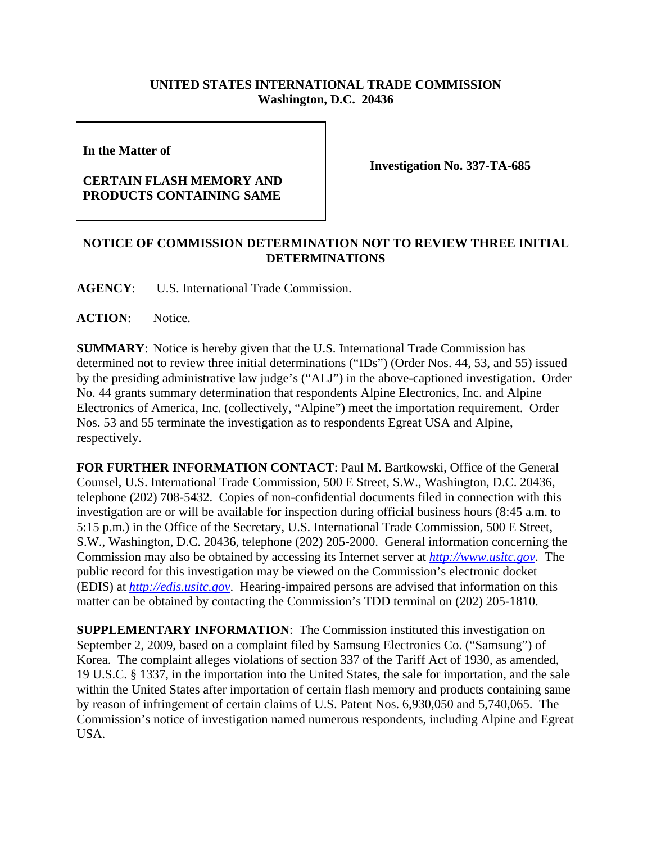## **UNITED STATES INTERNATIONAL TRADE COMMISSION Washington, D.C. 20436**

**In the Matter of** 

## **CERTAIN FLASH MEMORY AND PRODUCTS CONTAINING SAME**

**Investigation No. 337-TA-685**

## **NOTICE OF COMMISSION DETERMINATION NOT TO REVIEW THREE INITIAL DETERMINATIONS**

**AGENCY**: U.S. International Trade Commission.

**ACTION**: Notice.

**SUMMARY**: Notice is hereby given that the U.S. International Trade Commission has determined not to review three initial determinations ("IDs") (Order Nos. 44, 53, and 55) issued by the presiding administrative law judge's ("ALJ") in the above-captioned investigation. Order No. 44 grants summary determination that respondents Alpine Electronics, Inc. and Alpine Electronics of America, Inc. (collectively, "Alpine") meet the importation requirement. Order Nos. 53 and 55 terminate the investigation as to respondents Egreat USA and Alpine, respectively.

**FOR FURTHER INFORMATION CONTACT**: Paul M. Bartkowski, Office of the General Counsel, U.S. International Trade Commission, 500 E Street, S.W., Washington, D.C. 20436, telephone (202) 708-5432. Copies of non-confidential documents filed in connection with this investigation are or will be available for inspection during official business hours (8:45 a.m. to 5:15 p.m.) in the Office of the Secretary, U.S. International Trade Commission, 500 E Street, S.W., Washington, D.C. 20436, telephone (202) 205-2000. General information concerning the Commission may also be obtained by accessing its Internet server at *http://www.usitc.gov*. The public record for this investigation may be viewed on the Commission's electronic docket (EDIS) at *http://edis.usitc.gov*. Hearing-impaired persons are advised that information on this matter can be obtained by contacting the Commission's TDD terminal on (202) 205-1810.

**SUPPLEMENTARY INFORMATION**: The Commission instituted this investigation on September 2, 2009, based on a complaint filed by Samsung Electronics Co. ("Samsung") of Korea. The complaint alleges violations of section 337 of the Tariff Act of 1930, as amended, 19 U.S.C. § 1337, in the importation into the United States, the sale for importation, and the sale within the United States after importation of certain flash memory and products containing same by reason of infringement of certain claims of U.S. Patent Nos. 6,930,050 and 5,740,065. The Commission's notice of investigation named numerous respondents, including Alpine and Egreat USA.